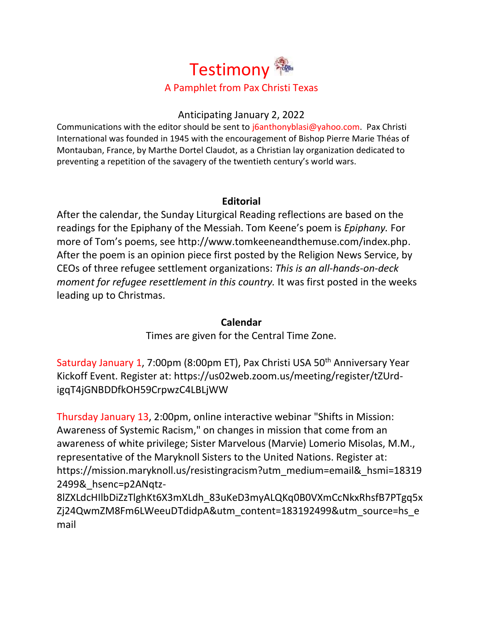

# Anticipating January 2, 2022

Communications with the editor should be sent to [j6anthonyblasi@yahoo.com.](mailto:j6anthonyblasi@yahoo.com) Pax Christi International was founded in 1945 with the encouragement of Bishop Pierre Marie Théas of Montauban, France, by Marthe Dortel Claudot, as a Christian lay organization dedicated to preventing a repetition of the savagery of the twentieth century's world wars.

# **Editorial**

After the calendar, the Sunday Liturgical Reading reflections are based on the readings for the Epiphany of the Messiah. Tom Keene's poem is *Epiphany.* For more of Tom's poems, see [http://www.tomkeeneandthemuse.com/index.php.](http://www.tomkeeneandthemuse.com/index.php) After the poem is an opinion piece first posted by the Religion News Service, by CEOs of three refugee settlement organizations: *This is an all-hands-on-deck moment for refugee resettlement in this country.* It was first posted in the weeks leading up to Christmas.

### **Calendar**

Times are given for the Central Time Zone.

Saturday January 1, 7:00pm (8:00pm ET), Pax Christi USA 50<sup>th</sup> Anniversary Year Kickoff Event. Register at: [https://us02web.zoom.us/meeting/register/tZUrd](https://us02web.zoom.us/meeting/register/tZUrd-igqT4jGNBDDfkOH59CrpwzC4LBLjWW)[igqT4jGNBDDfkOH59CrpwzC4LBLjWW](https://us02web.zoom.us/meeting/register/tZUrd-igqT4jGNBDDfkOH59CrpwzC4LBLjWW)

Thursday January 13, 2:00pm, online interactive webinar "Shifts in Mission: Awareness of Systemic Racism," on changes in mission that come from an awareness of white privilege; Sister Marvelous (Marvie) Lomerio Misolas, M.M., representative of the Maryknoll Sisters to the United Nations. Register at: [https://mission.maryknoll.us/resistingracism?utm\\_medium=email&\\_hsmi=18319](https://mission.maryknoll.us/resistingracism?utm_medium=email&_hsmi=183192499&_hsenc=p2ANqtz-8lZXLdcHIlbDiZzTlghKt6X3mXLdh_83uKeD3myALQKq0B0VXmCcNkxRhsfB7PTgq5xZj24QwmZM8Fm6LWeeuDTdidpA&utm_content=183192499&utm_source=hs_email) [2499&\\_hsenc=p2ANqtz-](https://mission.maryknoll.us/resistingracism?utm_medium=email&_hsmi=183192499&_hsenc=p2ANqtz-8lZXLdcHIlbDiZzTlghKt6X3mXLdh_83uKeD3myALQKq0B0VXmCcNkxRhsfB7PTgq5xZj24QwmZM8Fm6LWeeuDTdidpA&utm_content=183192499&utm_source=hs_email)

[8lZXLdcHIlbDiZzTlghKt6X3mXLdh\\_83uKeD3myALQKq0B0VXmCcNkxRhsfB7PTgq5x](https://mission.maryknoll.us/resistingracism?utm_medium=email&_hsmi=183192499&_hsenc=p2ANqtz-8lZXLdcHIlbDiZzTlghKt6X3mXLdh_83uKeD3myALQKq0B0VXmCcNkxRhsfB7PTgq5xZj24QwmZM8Fm6LWeeuDTdidpA&utm_content=183192499&utm_source=hs_email) [Zj24QwmZM8Fm6LWeeuDTdidpA&utm\\_content=183192499&utm\\_source=hs\\_e](https://mission.maryknoll.us/resistingracism?utm_medium=email&_hsmi=183192499&_hsenc=p2ANqtz-8lZXLdcHIlbDiZzTlghKt6X3mXLdh_83uKeD3myALQKq0B0VXmCcNkxRhsfB7PTgq5xZj24QwmZM8Fm6LWeeuDTdidpA&utm_content=183192499&utm_source=hs_email) [mail](https://mission.maryknoll.us/resistingracism?utm_medium=email&_hsmi=183192499&_hsenc=p2ANqtz-8lZXLdcHIlbDiZzTlghKt6X3mXLdh_83uKeD3myALQKq0B0VXmCcNkxRhsfB7PTgq5xZj24QwmZM8Fm6LWeeuDTdidpA&utm_content=183192499&utm_source=hs_email)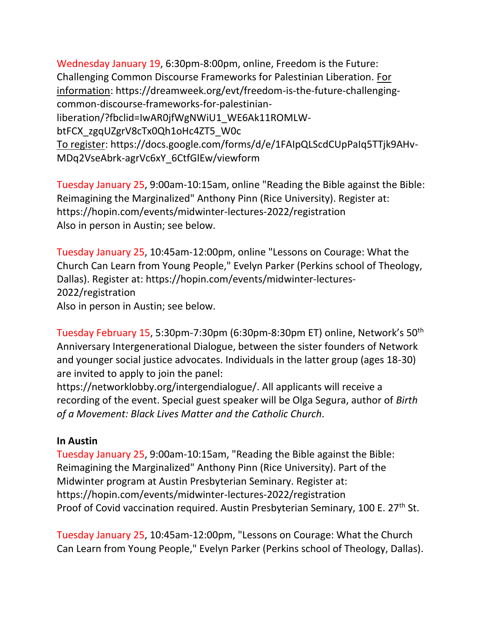Wednesday January 19, 6:30pm-8:00pm, online, Freedom is the Future: Challenging Common Discourse Frameworks for Palestinian Liberation. For information: [https://dreamweek.org/evt/freedom-is-the-future-challenging](https://dreamweek.org/evt/freedom-is-the-future-challenging-common-discourse-frameworks-for-palestinian-liberation/?fbclid=IwAR0jfWgNWiU1_WE6Ak11ROMLW-btFCX_zgqUZgrV8cTx0Qh1oHc4ZT5_W0c)[common-discourse-frameworks-for-palestinian](https://dreamweek.org/evt/freedom-is-the-future-challenging-common-discourse-frameworks-for-palestinian-liberation/?fbclid=IwAR0jfWgNWiU1_WE6Ak11ROMLW-btFCX_zgqUZgrV8cTx0Qh1oHc4ZT5_W0c)[liberation/?fbclid=IwAR0jfWgNWiU1\\_WE6Ak11ROMLW](https://dreamweek.org/evt/freedom-is-the-future-challenging-common-discourse-frameworks-for-palestinian-liberation/?fbclid=IwAR0jfWgNWiU1_WE6Ak11ROMLW-btFCX_zgqUZgrV8cTx0Qh1oHc4ZT5_W0c)[btFCX\\_zgqUZgrV8cTx0Qh1oHc4ZT5\\_W0c](https://dreamweek.org/evt/freedom-is-the-future-challenging-common-discourse-frameworks-for-palestinian-liberation/?fbclid=IwAR0jfWgNWiU1_WE6Ak11ROMLW-btFCX_zgqUZgrV8cTx0Qh1oHc4ZT5_W0c) To register: [https://docs.google.com/forms/d/e/1FAIpQLScdCUpPaIq5TTjk9AHv-](https://docs.google.com/forms/d/e/1FAIpQLScdCUpPaIq5TTjk9AHv-MDq2VseAbrk-agrVc6xY_6CtfGlEw/viewform)[MDq2VseAbrk-agrVc6xY\\_6CtfGlEw/viewform](https://docs.google.com/forms/d/e/1FAIpQLScdCUpPaIq5TTjk9AHv-MDq2VseAbrk-agrVc6xY_6CtfGlEw/viewform)

Tuesday January 25, 9:00am-10:15am, online "Reading the Bible against the Bible: Reimagining the Marginalized" Anthony Pinn (Rice University). Register at: <https://hopin.com/events/midwinter-lectures-2022/registration> Also in person in Austin; see below.

Tuesday January 25, 10:45am-12:00pm, online "Lessons on Courage: What the Church Can Learn from Young People," Evelyn Parker (Perkins school of Theology, Dallas). Register at: [https://hopin.com/events/midwinter-lectures-](https://hopin.com/events/midwinter-lectures-2022/registration)[2022/registration](https://hopin.com/events/midwinter-lectures-2022/registration) Also in person in Austin; see below.

Tuesday February 15, 5:30pm-7:30pm (6:30pm-8:30pm ET) online, Network's 50th Anniversary Intergenerational Dialogue, between the sister founders of Network and younger social justice advocates. Individuals in the latter group (ages 18-30) are invited to apply to join the panel:

[https://networklobby.org/intergendialogue/.](https://networklobby.org/intergendialogue/) All applicants will receive a recording of the event. Special guest speaker will be Olga Segura, author of *Birth of a Movement: Black Lives Matter and the Catholic Church*.

# **In Austin**

Tuesday January 25, 9:00am-10:15am, "Reading the Bible against the Bible: Reimagining the Marginalized" Anthony Pinn (Rice University). Part of the Midwinter program at Austin Presbyterian Seminary. Register at: <https://hopin.com/events/midwinter-lectures-2022/registration> Proof of Covid vaccination required. Austin Presbyterian Seminary, 100 E. 27<sup>th</sup> St.

Tuesday January 25, 10:45am-12:00pm, "Lessons on Courage: What the Church Can Learn from Young People," Evelyn Parker (Perkins school of Theology, Dallas).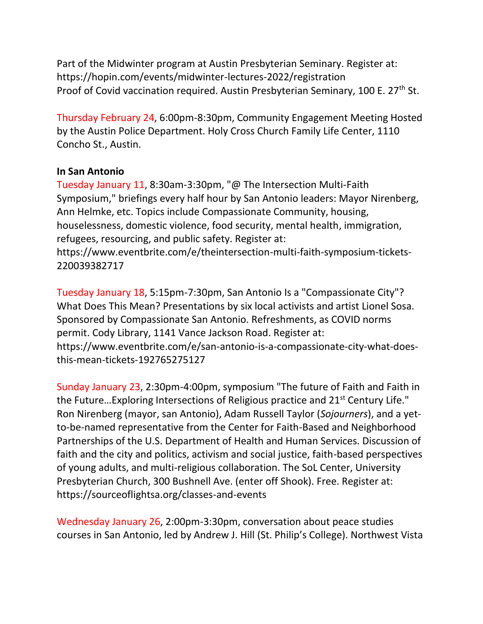Part of the Midwinter program at Austin Presbyterian Seminary. Register at: <https://hopin.com/events/midwinter-lectures-2022/registration> Proof of Covid vaccination required. Austin Presbyterian Seminary, 100 E. 27<sup>th</sup> St.

Thursday February 24, 6:00pm-8:30pm, Community Engagement Meeting Hosted by the Austin Police Department. Holy Cross Church Family Life Center, 1110 Concho St., Austin.

# **In San Antonio**

Tuesday January 11, 8:30am-3:30pm, "@ The Intersection Multi-Faith Symposium," briefings every half hour by San Antonio leaders: Mayor Nirenberg, Ann Helmke, etc. Topics include Compassionate Community, housing, houselessness, domestic violence, food security, mental health, immigration, refugees, resourcing, and public safety. Register at: [https://www.eventbrite.com/e/theintersection-multi-faith-symposium-tickets-](https://www.eventbrite.com/e/theintersection-multi-faith-symposium-tickets-220039382717)[220039382717](https://www.eventbrite.com/e/theintersection-multi-faith-symposium-tickets-220039382717)

Tuesday January 18, 5:15pm-7:30pm, San Antonio Is a "Compassionate City"? What Does This Mean? Presentations by six local activists and artist Lionel Sosa. Sponsored by Compassionate San Antonio. Refreshments, as COVID norms permit. Cody Library, 1141 Vance Jackson Road. Register at: [https://www.eventbrite.com/e/san-antonio-is-a-compassionate-city-what-does](https://www.eventbrite.com/e/san-antonio-is-a-compassionate-city-what-does-this-mean-tickets-192765275127)[this-mean-tickets-192765275127](https://www.eventbrite.com/e/san-antonio-is-a-compassionate-city-what-does-this-mean-tickets-192765275127)

Sunday January 23, 2:30pm-4:00pm, symposium "The future of Faith and Faith in the Future...Exploring Intersections of Religious practice and 21<sup>st</sup> Century Life." Ron Nirenberg (mayor, san Antonio), Adam Russell Taylor (*Sojourners*), and a yetto-be-named representative from the Center for Faith-Based and Neighborhood Partnerships of the U.S. Department of Health and Human Services. Discussion of faith and the city and politics, activism and social justice, faith-based perspectives of young adults, and multi-religious collaboration. The SoL Center, University Presbyterian Church, 300 Bushnell Ave. (enter off Shook). Free. Register at: <https://sourceoflightsa.org/classes-and-events>

Wednesday January 26, 2:00pm-3:30pm, conversation about peace studies courses in San Antonio, led by Andrew J. Hill (St. Philip's College). Northwest Vista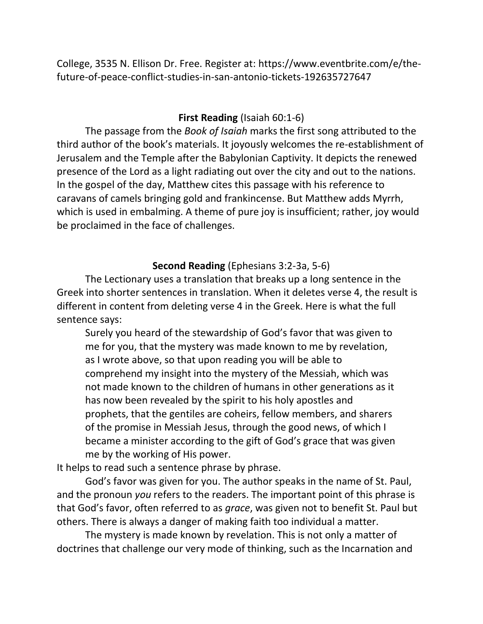College, 3535 N. Ellison Dr. Free. Register at: [https://www.eventbrite.com/e/the](https://www.eventbrite.com/e/the-future-of-peace-conflict-studies-in-san-antonio-tickets-192635727647)[future-of-peace-conflict-studies-in-san-antonio-tickets-192635727647](https://www.eventbrite.com/e/the-future-of-peace-conflict-studies-in-san-antonio-tickets-192635727647)

# **First Reading** (Isaiah 60:1-6)

The passage from the *Book of Isaiah* marks the first song attributed to the third author of the book's materials. It joyously welcomes the re-establishment of Jerusalem and the Temple after the Babylonian Captivity. It depicts the renewed presence of the Lord as a light radiating out over the city and out to the nations. In the gospel of the day, Matthew cites this passage with his reference to caravans of camels bringing gold and frankincense. But Matthew adds Myrrh, which is used in embalming. A theme of pure joy is insufficient; rather, joy would be proclaimed in the face of challenges.

# **Second Reading** (Ephesians 3:2-3a, 5-6)

The Lectionary uses a translation that breaks up a long sentence in the Greek into shorter sentences in translation. When it deletes verse 4, the result is different in content from deleting verse 4 in the Greek. Here is what the full sentence says:

Surely you heard of the stewardship of God's favor that was given to me for you, that the mystery was made known to me by revelation, as I wrote above, so that upon reading you will be able to comprehend my insight into the mystery of the Messiah, which was not made known to the children of humans in other generations as it has now been revealed by the spirit to his holy apostles and prophets, that the gentiles are coheirs, fellow members, and sharers of the promise in Messiah Jesus, through the good news, of which I became a minister according to the gift of God's grace that was given me by the working of His power.

It helps to read such a sentence phrase by phrase.

God's favor was given for you. The author speaks in the name of St. Paul, and the pronoun *you* refers to the readers. The important point of this phrase is that God's favor, often referred to as *grace*, was given not to benefit St. Paul but others. There is always a danger of making faith too individual a matter.

The mystery is made known by revelation. This is not only a matter of doctrines that challenge our very mode of thinking, such as the Incarnation and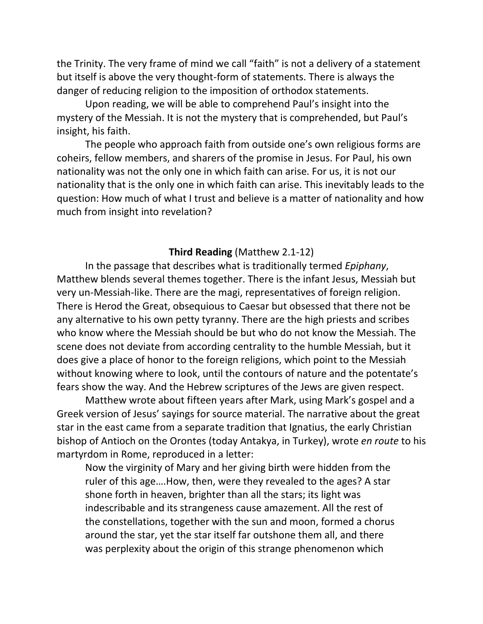the Trinity. The very frame of mind we call "faith" is not a delivery of a statement but itself is above the very thought-form of statements. There is always the danger of reducing religion to the imposition of orthodox statements.

Upon reading, we will be able to comprehend Paul's insight into the mystery of the Messiah. It is not the mystery that is comprehended, but Paul's insight, his faith.

The people who approach faith from outside one's own religious forms are coheirs, fellow members, and sharers of the promise in Jesus. For Paul, his own nationality was not the only one in which faith can arise. For us, it is not our nationality that is the only one in which faith can arise. This inevitably leads to the question: How much of what I trust and believe is a matter of nationality and how much from insight into revelation?

### **Third Reading** (Matthew 2.1-12)

In the passage that describes what is traditionally termed *Epiphany*, Matthew blends several themes together. There is the infant Jesus, Messiah but very un-Messiah-like. There are the magi, representatives of foreign religion. There is Herod the Great, obsequious to Caesar but obsessed that there not be any alternative to his own petty tyranny. There are the high priests and scribes who know where the Messiah should be but who do not know the Messiah. The scene does not deviate from according centrality to the humble Messiah, but it does give a place of honor to the foreign religions, which point to the Messiah without knowing where to look, until the contours of nature and the potentate's fears show the way. And the Hebrew scriptures of the Jews are given respect.

Matthew wrote about fifteen years after Mark, using Mark's gospel and a Greek version of Jesus' sayings for source material. The narrative about the great star in the east came from a separate tradition that Ignatius, the early Christian bishop of Antioch on the Orontes (today Antakya, in Turkey), wrote *en route* to his martyrdom in Rome, reproduced in a letter:

Now the virginity of Mary and her giving birth were hidden from the ruler of this age….How, then, were they revealed to the ages? A star shone forth in heaven, brighter than all the stars; its light was indescribable and its strangeness cause amazement. All the rest of the constellations, together with the sun and moon, formed a chorus around the star, yet the star itself far outshone them all, and there was perplexity about the origin of this strange phenomenon which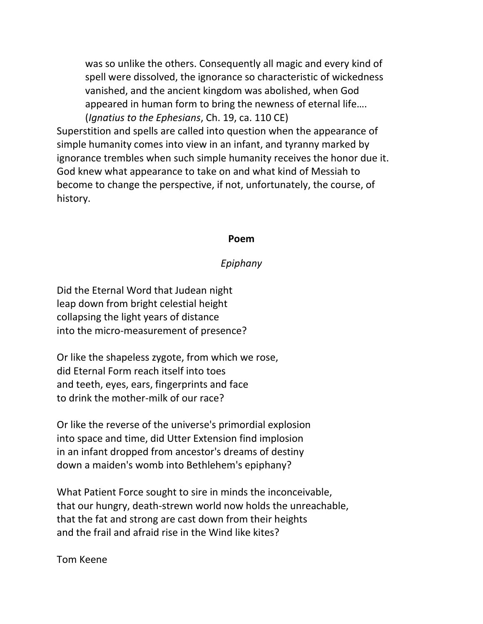was so unlike the others. Consequently all magic and every kind of spell were dissolved, the ignorance so characteristic of wickedness vanished, and the ancient kingdom was abolished, when God appeared in human form to bring the newness of eternal life…. (*Ignatius to the Ephesians*, Ch. 19, ca. 110 CE)

Superstition and spells are called into question when the appearance of simple humanity comes into view in an infant, and tyranny marked by ignorance trembles when such simple humanity receives the honor due it. God knew what appearance to take on and what kind of Messiah to become to change the perspective, if not, unfortunately, the course, of history.

#### **Poem**

### *Epiphany*

Did the Eternal Word that Judean night leap down from bright celestial height collapsing the light years of distance into the micro-measurement of presence?

Or like the shapeless zygote, from which we rose, did Eternal Form reach itself into toes and teeth, eyes, ears, fingerprints and face to drink the mother-milk of our race?

Or like the reverse of the universe's primordial explosion into space and time, did Utter Extension find implosion in an infant dropped from ancestor's dreams of destiny down a maiden's womb into Bethlehem's epiphany?

What Patient Force sought to sire in minds the inconceivable, that our hungry, death-strewn world now holds the unreachable, that the fat and strong are cast down from their heights and the frail and afraid rise in the Wind like kites?

Tom Keene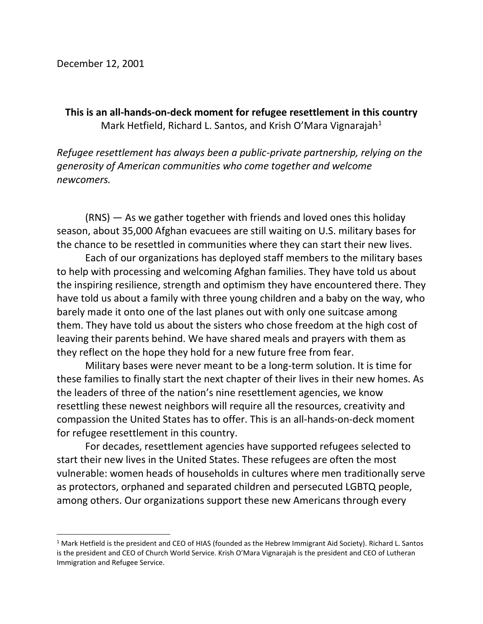**This is an all-hands-on-deck moment for refugee resettlement in this country** Mark Hetfield, Richard L. Santos, and Krish O'Mara Vignarajah $<sup>1</sup>$ </sup>

*Refugee resettlement has always been a public-private partnership, relying on the generosity of American communities who come together and welcome newcomers.*

(RNS) — As we gather together with friends and loved ones this holiday season, about 35,000 Afghan evacuees are still waiting on U.S. military bases for the chance to be resettled in communities where they can start their new lives.

Each of our organizations has deployed staff members to the military bases to help with processing and welcoming Afghan families. They have told us about the inspiring resilience, strength and optimism they have encountered there. They have told us about a family with three young children and a baby on the way, who barely made it onto one of the last planes out with only one suitcase among them. They have told us about the sisters who chose freedom at the high cost of leaving their parents behind. We have shared meals and prayers with them as they reflect on the hope they hold for a new future free from fear.

Military bases were never meant to be a long-term solution. It is time for these families to finally start the next chapter of their lives in their new homes. As the leaders of three of the nation's nine resettlement agencies, we know resettling these newest neighbors will require all the resources, creativity and compassion the United States has to offer. This is an all-hands-on-deck moment for refugee resettlement in this country.

For decades, resettlement agencies have supported refugees selected to start their new lives in the United States. These refugees are often the most vulnerable: women heads of households in cultures where men traditionally serve as protectors, orphaned and separated children and persecuted LGBTQ people, among others. Our organizations support these new Americans through every

 $1$  Mark Hetfield is the president and CEO of HIAS (founded as the Hebrew Immigrant Aid Society). Richard L. Santos is the president and CEO of Church World Service. Krish O'Mara Vignarajah is the president and CEO of Lutheran Immigration and Refugee Service.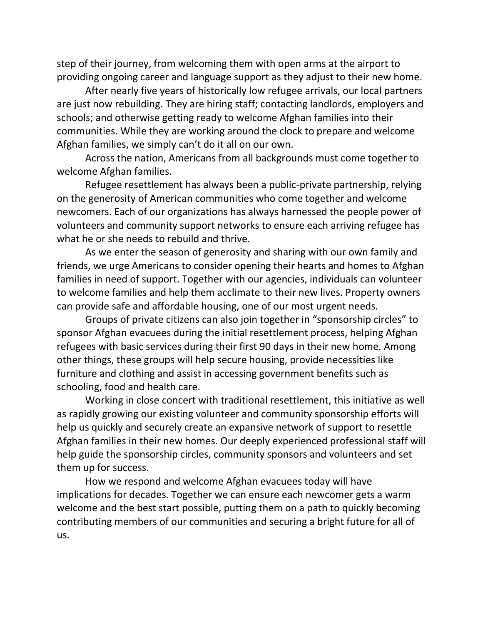step of their journey, from welcoming them with open arms at the airport to providing ongoing career and language support as they adjust to their new home.

After nearly five years of historically low refugee arrivals, our local partners are just now rebuilding. They are hiring staff; contacting landlords, employers and schools; and otherwise getting ready to welcome Afghan families into their communities. While they are working around the clock to prepare and welcome Afghan families, we simply can't do it all on our own.

Across the nation, Americans from all backgrounds must come together to welcome Afghan families.

Refugee resettlement has always been a public-private partnership, relying on the generosity of American communities who come together and welcome newcomers. Each of our organizations has always harnessed the people power of volunteers and community support networks to ensure each arriving refugee has what he or she needs to rebuild and thrive.

As we enter the season of generosity and sharing with our own family and friends, we urge Americans to consider opening their hearts and homes to Afghan families in need of support. Together with our agencies, individuals can volunteer to welcome families and help them acclimate to their new lives. Property owners can provide safe and affordable housing, one of our most urgent needs.

Groups of private citizens can also join together in "sponsorship circles" to sponsor Afghan evacuees during the initial resettlement process, helping Afghan refugees with basic services during their first 90 days in their new home. Among other things, these groups will help secure housing, provide necessities like furniture and clothing and assist in accessing government benefits such as schooling, food and health care.

Working in close concert with traditional resettlement, this initiative as well as rapidly growing our existing volunteer and community sponsorship efforts will help us quickly and securely create an expansive network of support to resettle Afghan families in their new homes. Our deeply experienced professional staff will help guide the sponsorship circles, community sponsors and volunteers and set them up for success.

How we respond and welcome Afghan evacuees today will have implications for decades. Together we can ensure each newcomer gets a warm welcome and the best start possible, putting them on a path to quickly becoming contributing members of our communities and securing a bright future for all of us.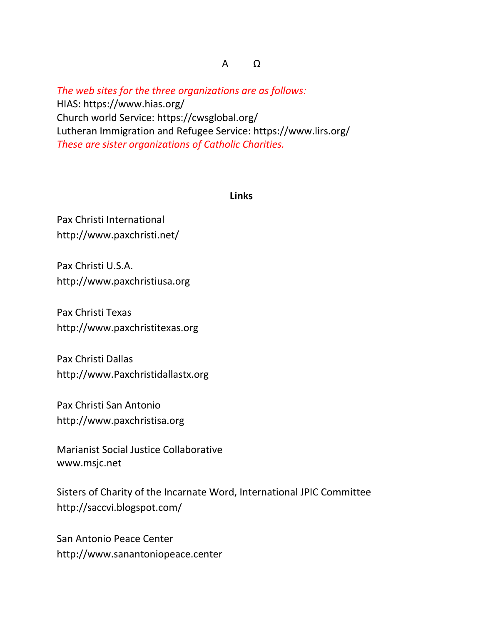*The web sites for the three organizations are as follows:*  HIAS:<https://www.hias.org/> Church world Service:<https://cwsglobal.org/> Lutheran Immigration and Refugee Service:<https://www.lirs.org/> *These are sister organizations of Catholic Charities.* 

### **Links**

Pax Christi International <http://www.paxchristi.net/>

Pax Christi U.S.A. [http://www.paxchristiusa.org](http://www.paxchristiusa.org/)

Pax Christi Texas [http://www.paxchristitexas.org](http://www.paxchristitexas.org/)

Pax Christi Dallas [http://www.Paxchristidallastx.org](http://www.paxchristidallastx.org/)

Pax Christi San Antonio [http://www.paxchristisa.org](http://www.paxchristisa.org/)

Marianist Social Justice Collaborative [www.msjc.net](http://www.msjc.net/)

Sisters of Charity of the Incarnate Word, International JPIC Committee <http://saccvi.blogspot.com/>

San Antonio Peace Center [http://www.sanantoniopeace.center](http://www.sanantoniopeace.center/)

Α Ω